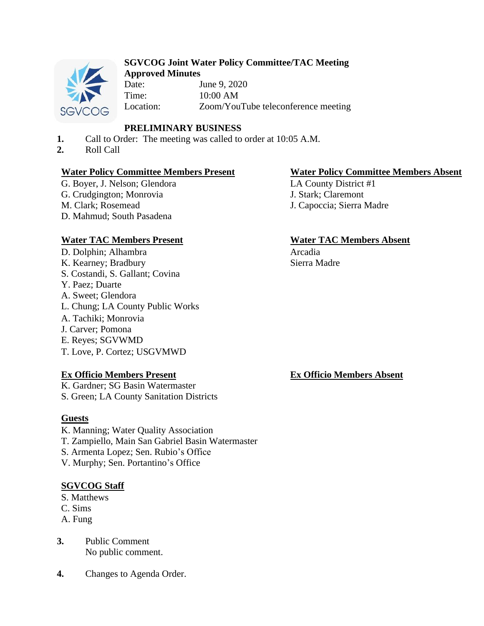

#### **SGVCOG Joint Water Policy Committee/TAC Meeting Approved Minutes**

Date: June 9, 2020 Time: 10:00 AM Location: Zoom/YouTube teleconference meeting

# **PRELIMINARY BUSINESS**

- **1.** Call to Order: The meeting was called to order at 10:05 A.M.
- **2.** Roll Call

# **Water Policy Committee Members Present Water Policy Committee Members Absent**

G. Boyer, J. Nelson; Glendora G. Crudgington; Monrovia M. Clark; Rosemead D. Mahmud; South Pasadena

# **Water TAC Members Present Water TAC Members Absent**

D. Dolphin; Alhambra K. Kearney; Bradbury S. Costandi, S. Gallant; Covina Y. Paez; Duarte A. Sweet; Glendora L. Chung; LA County Public Works A. Tachiki; Monrovia J. Carver; Pomona E. Reyes; SGVWMD T. Love, P. Cortez; USGVMWD

## **Ex Officio Members Present**

K. Gardner; SG Basin Watermaster S. Green; LA County Sanitation Districts

## **Guests**

- K. Manning; Water Quality Association
- T. Zampiello, Main San Gabriel Basin Watermaster
- S. Armenta Lopez; Sen. Rubio's Office
- V. Murphy; Sen. Portantino's Office

# **SGVCOG Staff**

- S. Matthews
- C. Sims
- A. Fung
- **3.** Public Comment No public comment.
- **4.** Changes to Agenda Order.

LA County District #1 J. Stark; Claremont J. Capoccia; Sierra Madre

Arcadia Sierra Madre

# **Ex Officio Members Absent**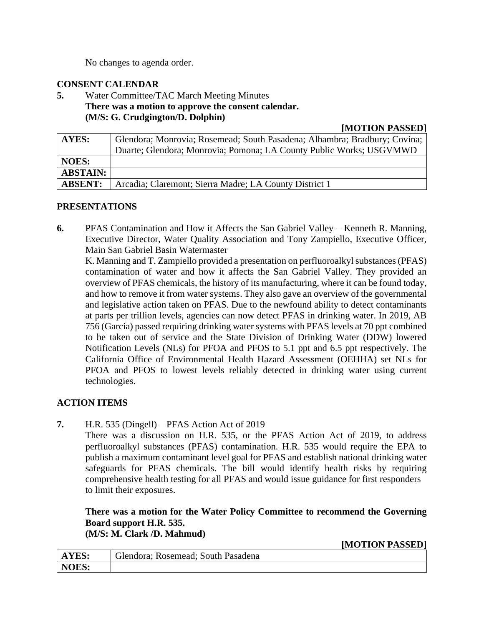No changes to agenda order.

# **CONSENT CALENDAR**

**5.** Water Committee/TAC March Meeting Minutes **There was a motion to approve the consent calendar. (M/S: G. Crudgington/D. Dolphin)**

## **[MOTION PASSED]**

| AYES:           | Glendora; Monrovia; Rosemead; South Pasadena; Alhambra; Bradbury; Covina; |
|-----------------|---------------------------------------------------------------------------|
|                 | Duarte; Glendora; Monrovia; Pomona; LA County Public Works; USGVMWD       |
| <b>NOES:</b>    |                                                                           |
| <b>ABSTAIN:</b> |                                                                           |
| <b>ABSENT:</b>  | Arcadia; Claremont; Sierra Madre; LA County District 1                    |

# **PRESENTATIONS**

**6.** PFAS Contamination and How it Affects the San Gabriel Valley – Kenneth R. Manning, Executive Director, Water Quality Association and Tony Zampiello, Executive Officer, Main San Gabriel Basin Watermaster

K. Manning and T. Zampiello provided a presentation on perfluoroalkyl substances (PFAS) contamination of water and how it affects the San Gabriel Valley. They provided an overview of PFAS chemicals, the history of its manufacturing, where it can be found today, and how to remove it from water systems. They also gave an overview of the governmental and legislative action taken on PFAS. Due to the newfound ability to detect contaminants at parts per trillion levels, agencies can now detect PFAS in drinking water. In 2019, AB 756 (Garcia) passed requiring drinking water systems with PFAS levels at 70 ppt combined to be taken out of service and the State Division of Drinking Water (DDW) lowered Notification Levels (NLs) for PFOA and PFOS to 5.1 ppt and 6.5 ppt respectively. The California Office of Environmental Health Hazard Assessment (OEHHA) set NLs for PFOA and PFOS to lowest levels reliably detected in drinking water using current technologies.

# **ACTION ITEMS**

**7.** H.R. 535 (Dingell) – PFAS Action Act of 2019

There was a discussion on H.R. 535, or the PFAS Action Act of 2019, to address perfluoroalkyl substances (PFAS) contamination. H.R. 535 would require the EPA to publish a maximum contaminant level goal for PFAS and establish national drinking water safeguards for PFAS chemicals. The bill would identify health risks by requiring comprehensive health testing for all PFAS and would issue guidance for first responders to limit their exposures.

**There was a motion for the Water Policy Committee to recommend the Governing Board support H.R. 535.**

**(M/S: M. Clark /D. Mahmud)**

**[MOTION PASSED]**

| <b>AYES:</b> | Glendora: Rosemead: South Pasadena |
|--------------|------------------------------------|
| NOES:        |                                    |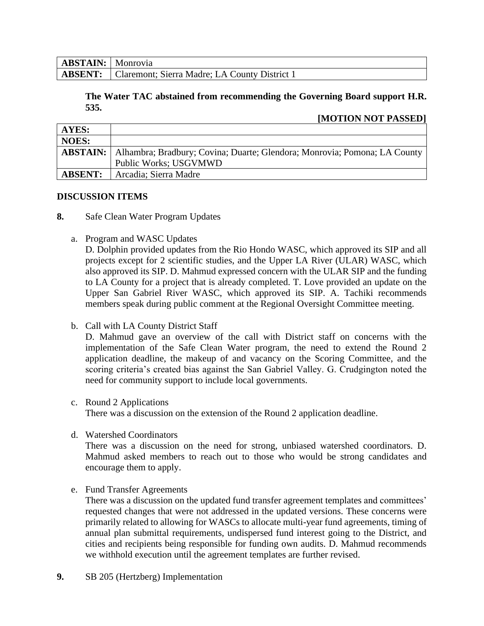| <b>ABSTAIN:</b> Monrovia |                                                              |
|--------------------------|--------------------------------------------------------------|
|                          | <b>ABSENT:</b> Claremont; Sierra Madre; LA County District 1 |

## **The Water TAC abstained from recommending the Governing Board support H.R. 535.**

# **[MOTION NOT PASSED]**

| AYES:          |                                                                                             |
|----------------|---------------------------------------------------------------------------------------------|
| <b>NOES:</b>   |                                                                                             |
|                | <b>ABSTAIN:</b>   Alhambra; Bradbury; Covina; Duarte; Glendora; Monrovia; Pomona; LA County |
|                | Public Works; USGVMWD                                                                       |
| <b>ABSENT:</b> | Arcadia; Sierra Madre                                                                       |

#### **DISCUSSION ITEMS**

- **8.** Safe Clean Water Program Updates
	- a. Program and WASC Updates

D. Dolphin provided updates from the Rio Hondo WASC, which approved its SIP and all projects except for 2 scientific studies, and the Upper LA River (ULAR) WASC, which also approved its SIP. D. Mahmud expressed concern with the ULAR SIP and the funding to LA County for a project that is already completed. T. Love provided an update on the Upper San Gabriel River WASC, which approved its SIP. A. Tachiki recommends members speak during public comment at the Regional Oversight Committee meeting.

b. Call with LA County District Staff

D. Mahmud gave an overview of the call with District staff on concerns with the implementation of the Safe Clean Water program, the need to extend the Round 2 application deadline, the makeup of and vacancy on the Scoring Committee, and the scoring criteria's created bias against the San Gabriel Valley. G. Crudgington noted the need for community support to include local governments.

## c. Round 2 Applications

There was a discussion on the extension of the Round 2 application deadline.

d. Watershed Coordinators

There was a discussion on the need for strong, unbiased watershed coordinators. D. Mahmud asked members to reach out to those who would be strong candidates and encourage them to apply.

e. Fund Transfer Agreements

There was a discussion on the updated fund transfer agreement templates and committees' requested changes that were not addressed in the updated versions. These concerns were primarily related to allowing for WASCs to allocate multi-year fund agreements, timing of annual plan submittal requirements, undispersed fund interest going to the District, and cities and recipients being responsible for funding own audits. D. Mahmud recommends we withhold execution until the agreement templates are further revised.

**9.** SB 205 (Hertzberg) Implementation